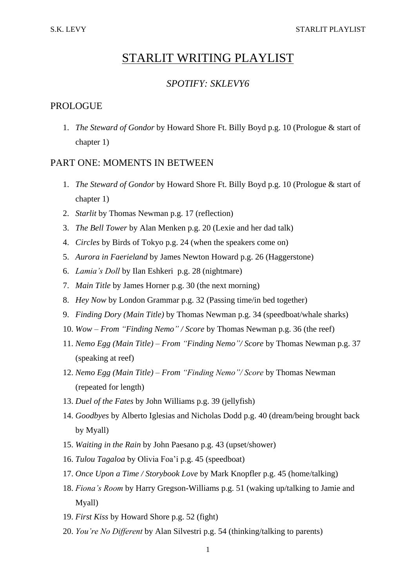# STARLIT WRITING PLAYLIST

# *SPOTIFY: SKLEVY6*

# PROLOGUE

1. *The Steward of Gondor* by Howard Shore Ft. Billy Boyd p.g. 10 (Prologue & start of chapter 1)

## PART ONE: MOMENTS IN BETWEEN

- 1. *The Steward of Gondor* by Howard Shore Ft. Billy Boyd p.g. 10 (Prologue & start of chapter 1)
- 2. *Starlit* by Thomas Newman p.g. 17 (reflection)
- 3. *The Bell Tower* by Alan Menken p.g. 20 (Lexie and her dad talk)
- 4. *Circles* by Birds of Tokyo p.g. 24 (when the speakers come on)
- 5. *Aurora in Faerieland* by James Newton Howard p.g. 26 (Haggerstone)
- 6. *Lamia's Doll* by Ilan Eshkeri p.g. 28 (nightmare)
- 7. *Main Title* by James Horner p.g. 30 (the next morning)
- 8. *Hey Now* by London Grammar p.g. 32 (Passing time/in bed together)
- 9. *Finding Dory (Main Title)* by Thomas Newman p.g. 34 (speedboat/whale sharks)
- 10. *Wow – From "Finding Nemo" / Score* by Thomas Newman p.g. 36 (the reef)
- 11. *Nemo Egg (Main Title) – From "Finding Nemo"/ Score* by Thomas Newman p.g. 37 (speaking at reef)
- 12. *Nemo Egg (Main Title) – From "Finding Nemo"/ Score* by Thomas Newman (repeated for length)
- 13. *Duel of the Fates* by John Williams p.g. 39 (jellyfish)
- 14. *Goodbyes* by Alberto Iglesias and Nicholas Dodd p.g. 40 (dream/being brought back by Myall)
- 15. *Waiting in the Rain* by John Paesano p.g. 43 (upset/shower)
- 16. *Tulou Tagaloa* by Olivia Foa'i p.g. 45 (speedboat)
- 17. *Once Upon a Time / Storybook Love* by Mark Knopfler p.g. 45 (home/talking)
- 18. *Fiona's Room* by Harry Gregson-Williams p.g. 51 (waking up/talking to Jamie and Myall)
- 19. *First Kiss* by Howard Shore p.g. 52 (fight)
- 20. *You're No Different* by Alan Silvestri p.g. 54 (thinking/talking to parents)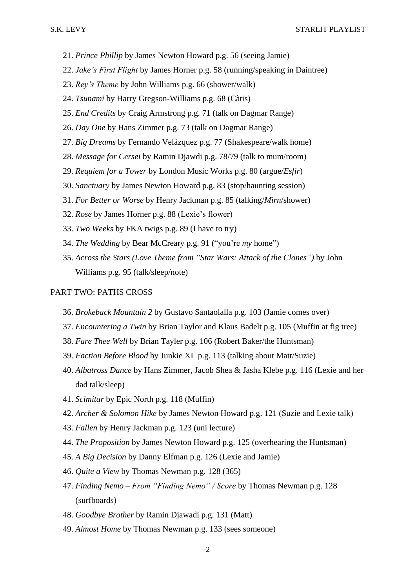- 21. *Prince Phillip* by James Newton Howard p.g. 56 (seeing Jamie)
- 22. *Jake's First Flight* by James Horner p.g. 58 (running/speaking in Daintree)
- 23. *Rey's Theme* by John Williams p.g. 66 (shower/walk)
- 24. *Tsunami* by Harry Gregson-Williams p.g. 68 (Càtis)
- 25. *End Credits* by Craig Armstrong p.g. 71 (talk on Dagmar Range)
- 26. *Day One* by Hans Zimmer p.g. 73 (talk on Dagmar Range)
- 27. *Big Dreams* by Fernando Velázquez p.g. 77 (Shakespeare/walk home)
- 28. *Message for Cersei* by Ramin Djawdi p.g. 78/79 (talk to mum/room)
- 29. *Requiem for a Tower* by London Music Works p.g. 80 (argue/*Esfir*)
- 30. *Sanctuary* by James Newton Howard p.g. 83 (stop/haunting session)
- 31. *For Better or Worse* by Henry Jackman p.g. 85 (talking/*Mirn*/shower)
- 32. *Rose* by James Horner p.g. 88 (Lexie's flower)
- 33. *Two Weeks* by FKA twigs p.g. 89 (I have to try)
- 34. *The Wedding* by Bear McCreary p.g. 91 ("you're *my* home")
- 35. *Across the Stars (Love Theme from "Star Wars: Attack of the Clones")* by John Williams p.g. 95 (talk/sleep/note)

#### PART TWO: PATHS CROSS

- 36. *Brokeback Mountain 2* by Gustavo Santaolalla p.g. 103 (Jamie comes over)
- 37. *Encountering a Twin* by Brian Taylor and Klaus Badelt p.g. 105 (Muffin at fig tree)
- 38. *Fare Thee Well* by Brian Tayler p.g. 106 (Robert Baker/the Huntsman)
- 39. *Faction Before Blood* by Junkie XL p.g. 113 (talking about Matt/Suzie)
- 40. *Albatross Dance* by Hans Zimmer, Jacob Shea & Jasha Klebe p.g. 116 (Lexie and her dad talk/sleep)
- 41. *Scimitar* by Epic North p.g. 118 (Muffin)
- 42. *Archer & Solomon Hike* by James Newton Howard p.g. 121 (Suzie and Lexie talk)
- 43. *Fallen* by Henry Jackman p.g. 123 (uni lecture)
- 44. *The Proposition* by James Newton Howard p.g. 125 (overhearing the Huntsman)
- 45. *A Big Decision* by Danny Elfman p.g. 126 (Lexie and Jamie)
- 46. *Quite a View* by Thomas Newman p.g. 128 (365)
- 47. *Finding Nemo – From "Finding Nemo" / Score* by Thomas Newman p.g. 128 (surfboards)
- 48. *Goodbye Brother* by Ramin Djawadi p.g. 131 (Matt)
- 49. *Almost Home* by Thomas Newman p.g. 133 (sees someone)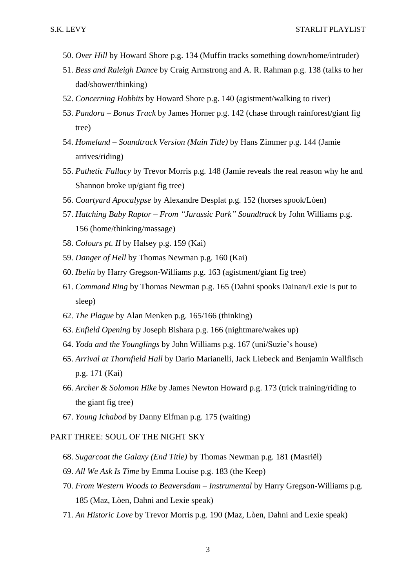- 50. *Over Hill* by Howard Shore p.g. 134 (Muffin tracks something down/home/intruder)
- 51. *Bess and Raleigh Dance* by Craig Armstrong and A. R. Rahman p.g. 138 (talks to her dad/shower/thinking)
- 52. *Concerning Hobbits* by Howard Shore p.g. 140 (agistment/walking to river)
- 53. *Pandora – Bonus Track* by James Horner p.g. 142 (chase through rainforest/giant fig tree)
- 54. *Homeland – Soundtrack Version (Main Title)* by Hans Zimmer p.g. 144 (Jamie arrives/riding)
- 55. *Pathetic Fallacy* by Trevor Morris p.g. 148 (Jamie reveals the real reason why he and Shannon broke up/giant fig tree)
- 56. *Courtyard Apocalypse* by Alexandre Desplat p.g. 152 (horses spook/Lòen)
- 57. *Hatching Baby Raptor – From "Jurassic Park" Soundtrack* by John Williams p.g. 156 (home/thinking/massage)
- 58. *Colours pt. II* by Halsey p.g. 159 (Kai)
- 59. *Danger of Hell* by Thomas Newman p.g. 160 (Kai)
- 60. *Ibelin* by Harry Gregson-Williams p.g. 163 (agistment/giant fig tree)
- 61. *Command Ring* by Thomas Newman p.g. 165 (Dahni spooks Dainan/Lexie is put to sleep)
- 62. *The Plague* by Alan Menken p.g. 165/166 (thinking)
- 63. *Enfield Opening* by Joseph Bishara p.g. 166 (nightmare/wakes up)
- 64. *Yoda and the Younglings* by John Williams p.g. 167 (uni/Suzie's house)
- 65. *Arrival at Thornfield Hall* by Dario Marianelli, Jack Liebeck and Benjamin Wallfisch p.g. 171 (Kai)
- 66. *Archer & Solomon Hike* by James Newton Howard p.g. 173 (trick training/riding to the giant fig tree)
- 67. *Young Ichabod* by Danny Elfman p.g. 175 (waiting)

### PART THREE: SOUL OF THE NIGHT SKY

- 68. *Sugarcoat the Galaxy (End Title)* by Thomas Newman p.g. 181 (Masriël)
- 69. *All We Ask Is Time* by Emma Louise p.g. 183 (the Keep)
- 70. *From Western Woods to Beaversdam – Instrumental* by Harry Gregson-Williams p.g. 185 (Maz, Lòen, Dahni and Lexie speak)
- 71. *An Historic Love* by Trevor Morris p.g. 190 (Maz, Lòen, Dahni and Lexie speak)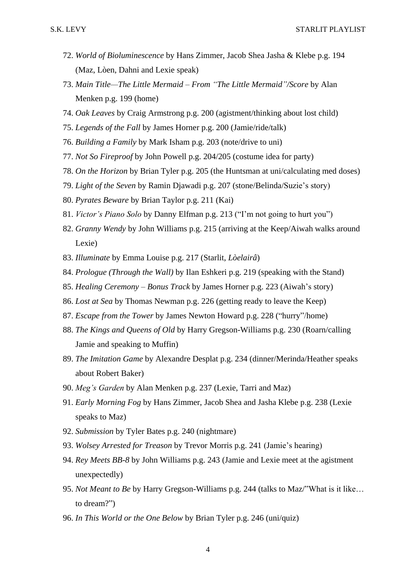- 72. *World of Bioluminescence* by Hans Zimmer, Jacob Shea Jasha & Klebe p.g. 194 (Maz, Lòen, Dahni and Lexie speak)
- 73. *Main Title—The Little Mermaid – From "The Little Mermaid"/Score* by Alan Menken p.g. 199 (home)
- 74. *Oak Leaves* by Craig Armstrong p.g. 200 (agistment/thinking about lost child)
- 75. *Legends of the Fall* by James Horner p.g. 200 (Jamie/ride/talk)
- 76. *Building a Family* by Mark Isham p.g. 203 (note/drive to uni)
- 77. *Not So Fireproof* by John Powell p.g. 204/205 (costume idea for party)
- 78. *On the Horizon* by Brian Tyler p.g. 205 (the Huntsman at uni/calculating med doses)
- 79. *Light of the Seven* by Ramin Djawadi p.g. 207 (stone/Belinda/Suzie's story)
- 80. *Pyrates Beware* by Brian Taylor p.g. 211 (Kai)
- 81. *Victor's Piano Solo* by Danny Elfman p.g. 213 ("I'm not going to hurt you")
- 82. *Granny Wendy* by John Williams p.g. 215 (arriving at the Keep/Aiwah walks around Lexie)
- 83. *Illuminate* by Emma Louise p.g. 217 (Starlit, *Lòelairâ*)
- 84. *Prologue (Through the Wall)* by Ilan Eshkeri p.g. 219 (speaking with the Stand)
- 85. *Healing Ceremony – Bonus Track* by James Horner p.g. 223 (Aiwah's story)
- 86. *Lost at Sea* by Thomas Newman p.g. 226 (getting ready to leave the Keep)
- 87. *Escape from the Tower* by James Newton Howard p.g. 228 ("hurry"/home)
- 88. *The Kings and Queens of Old* by Harry Gregson-Williams p.g. 230 (Roarn/calling Jamie and speaking to Muffin)
- 89. *The Imitation Game* by Alexandre Desplat p.g. 234 (dinner/Merinda/Heather speaks about Robert Baker)
- 90. *Meg's Garden* by Alan Menken p.g. 237 (Lexie, Tarri and Maz)
- 91. *Early Morning Fog* by Hans Zimmer, Jacob Shea and Jasha Klebe p.g. 238 (Lexie speaks to Maz)
- 92. *Submission* by Tyler Bates p.g. 240 (nightmare)
- 93. *Wolsey Arrested for Treason* by Trevor Morris p.g. 241 (Jamie's hearing)
- 94. *Rey Meets BB-8* by John Williams p.g. 243 (Jamie and Lexie meet at the agistment unexpectedly)
- 95. *Not Meant to Be* by Harry Gregson-Williams p.g. 244 (talks to Maz/"What is it like… to dream?")
- 96. *In This World or the One Below* by Brian Tyler p.g. 246 (uni/quiz)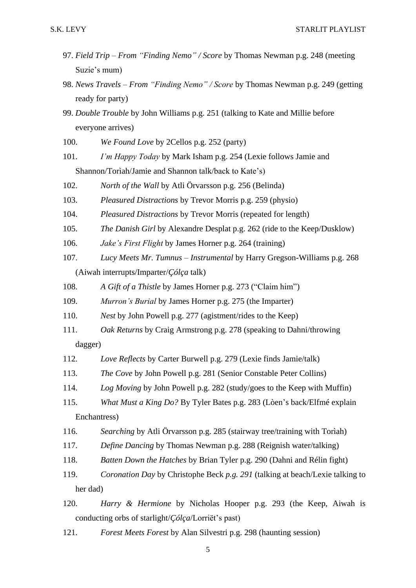- 97. *Field Trip – From "Finding Nemo" / Score* by Thomas Newman p.g. 248 (meeting Suzie's mum)
- 98. *News Travels – From "Finding Nemo" / Score* by Thomas Newman p.g. 249 (getting ready for party)
- 99. *Double Trouble* by John Williams p.g. 251 (talking to Kate and Millie before everyone arrives)
- 100. *We Found Love* by 2Cellos p.g. 252 (party)
- 101. *I'm Happy Today* by Mark Isham p.g. 254 (Lexie follows Jamie and Shannon/Torìah/Jamie and Shannon talk/back to Kate's)
- 102. *North of the Wall* by Atli Örvarsson p.g. 256 (Belinda)
- 103. *Pleasured Distractions* by Trevor Morris p.g. 259 (physio)
- 104. *Pleasured Distractions* by Trevor Morris (repeated for length)
- 105. *The Danish Girl* by Alexandre Desplat p.g. 262 (ride to the Keep/Dusklow)
- 106. *Jake's First Flight* by James Horner p.g. 264 (training)
- 107. *Lucy Meets Mr. Tumnus – Instrumental* by Harry Gregson-Williams p.g. 268 (Aiwah interrupts/Imparter/*Çólça* talk)
- 108. *A Gift of a Thistle* by James Horner p.g. 273 ("Claim him")
- 109. *Murron's Burial* by James Horner p.g. 275 (the Imparter)
- 110. *Nest* by John Powell p.g. 277 (agistment/rides to the Keep)
- 111. *Oak Returns* by Craig Armstrong p.g. 278 (speaking to Dahni/throwing dagger)
- 112. *Love Reflects* by Carter Burwell p.g. 279 (Lexie finds Jamie/talk)
- 113. *The Cove* by John Powell p.g. 281 (Senior Constable Peter Collins)
- 114. *Log Moving* by John Powell p.g. 282 (study/goes to the Keep with Muffin)
- 115. *What Must a King Do?* By Tyler Bates p.g. 283 (Lòen's back/Elfmé explain Enchantress)
- 116. *Searching* by Atli Örvarsson p.g. 285 (stairway tree/training with Torìah)
- 117. *Define Dancing* by Thomas Newman p.g. 288 (Reignish water/talking)
- 118. *Batten Down the Hatches* by Brian Tyler p.g. 290 (Dahni and Rélin fight)
- 119. *Coronation Day* by Christophe Beck *p.g. 291* (talking at beach/Lexie talking to her dad)
- 120. *Harry & Hermione* by Nicholas Hooper p.g. 293 (the Keep, Aiwah is conducting orbs of starlight/*Çólça*/Lorriët's past)
- 121. *Forest Meets Forest* by Alan Silvestri p.g. 298 (haunting session)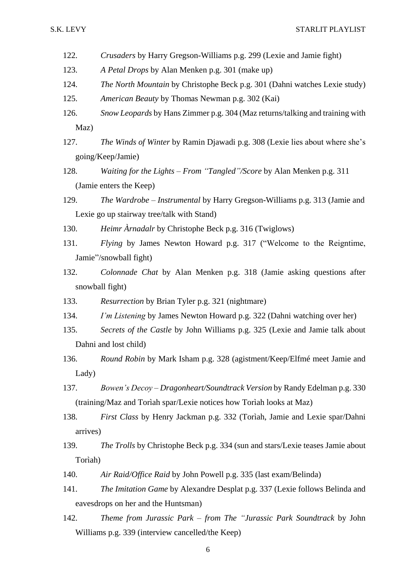- 122. *Crusaders* by Harry Gregson-Williams p.g. 299 (Lexie and Jamie fight)
- 123. *A Petal Drops* by Alan Menken p.g. 301 (make up)
- 124. *The North Mountain* by Christophe Beck p.g. 301 (Dahni watches Lexie study)
- 125. *American Beauty* by Thomas Newman p.g. 302 (Kai)
- 126. *Snow Leopards* by Hans Zimmer p.g. 304 (Maz returns/talking and training with Maz)
- 127. *The Winds of Winter* by Ramin Djawadi p.g. 308 (Lexie lies about where she's going/Keep/Jamie)
- 128. *Waiting for the Lights – From "Tangled"/Score* by Alan Menken p.g. 311 (Jamie enters the Keep)
- 129. *The Wardrobe – Instrumental* by Harry Gregson-Williams p.g. 313 (Jamie and Lexie go up stairway tree/talk with Stand)
- 130. *Heimr Àrnadalr* by Christophe Beck p.g. 316 (Twiglows)
- 131. *Flying* by James Newton Howard p.g. 317 ("Welcome to the Reigntime, Jamie"/snowball fight)
- 132. *Colonnade Chat* by Alan Menken p.g. 318 (Jamie asking questions after snowball fight)
- 133. *Resurrection* by Brian Tyler p.g. 321 (nightmare)
- 134. *I'm Listening* by James Newton Howard p.g. 322 (Dahni watching over her)
- 135. *Secrets of the Castle* by John Williams p.g. 325 (Lexie and Jamie talk about Dahni and lost child)
- 136. *Round Robin* by Mark Isham p.g. 328 (agistment/Keep/Elfmé meet Jamie and Lady)
- 137. *Bowen's Decoy – Dragonheart/Soundtrack Version* by Randy Edelman p.g. 330 (training/Maz and Torìah spar/Lexie notices how Torìah looks at Maz)
- 138. *First Class* by Henry Jackman p.g. 332 (Torìah, Jamie and Lexie spar/Dahni arrives)
- 139. *The Trolls* by Christophe Beck p.g. 334 (sun and stars/Lexie teases Jamie about Torìah)
- 140. *Air Raid/Office Raid* by John Powell p.g. 335 (last exam/Belinda)
- 141. *The Imitation Game* by Alexandre Desplat p.g. 337 (Lexie follows Belinda and eavesdrops on her and the Huntsman)
- 142. *Theme from Jurassic Park – from The "Jurassic Park Soundtrack* by John Williams p.g. 339 (interview cancelled/the Keep)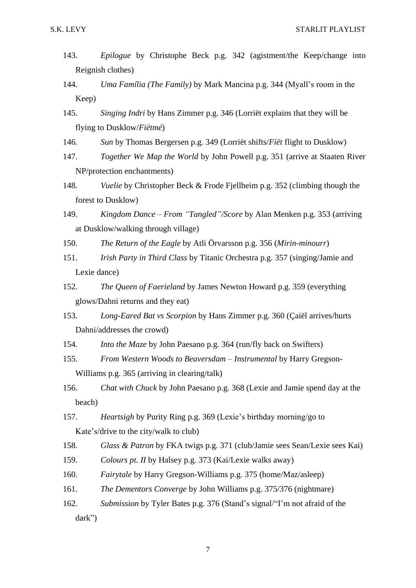- 143. *Epilogue* by Christophe Beck p.g. 342 (agistment/the Keep/change into Reignish clothes)
- 144. *Uma Família (The Family)* by Mark Mancina p.g. 344 (Myall's room in the Keep)
- 145. *Singing Indri* by Hans Zimmer p.g. 346 (Lorriët explains that they will be flying to Dusklow/*Fiëtmé*)
- 146. *Sun* by Thomas Bergersen p.g. 349 (Lorriët shifts/*Fiët* flight to Dusklow)
- 147. *Together We Map the World* by John Powell p.g. 351 (arrive at Staaten River NP/protection enchantments)
- 148. *Vuelie* by Christopher Beck & Frode Fjellheim p.g. 352 (climbing though the forest to Dusklow)
- 149. *Kingdom Dance – From "Tangled"/Score* by Alan Menken p.g. 353 (arriving at Dusklow/walking through village)
- 150. *The Return of the Eagle* by Atli Örvarsson p.g. 356 (*Mirin-minourr*)
- 151. *Irish Party in Third Class* by Titanic Orchestra p.g. 357 (singing/Jamie and Lexie dance)
- 152. *The Queen of Faerieland* by James Newton Howard p.g. 359 (everything glows/Dahni returns and they eat)
- 153. *Long-Eared Bat vs Scorpion* by Hans Zimmer p.g. 360 (Çaiël arrives/hurts Dahni/addresses the crowd)
- 154. *Into the Maze* by John Paesano p.g. 364 (run/fly back on Swifters)
- 155. *From Western Woods to Beaversdam – Instrumental* by Harry Gregson-Williams p.g. 365 (arriving in clearing/talk)
- 156. *Chat with Chuck* by John Paesano p.g. 368 (Lexie and Jamie spend day at the beach)
- 157. *Heartsigh* by Purity Ring p.g. 369 (Lexie's birthday morning/go to Kate's/drive to the city/walk to club)
- 158. *Glass & Patron* by FKA twigs p.g. 371 (club/Jamie sees Sean/Lexie sees Kai)
- 159. *Colours pt. II* by Halsey p.g. 373 (Kai/Lexie walks away)
- 160. *Fairytale* by Harry Gregson-Williams p.g. 375 (home/Maz/asleep)
- 161. *The Dementors Converge* by John Williams p.g. 375/376 (nightmare)
- 162. *Submission* by Tyler Bates p.g. 376 (Stand's signal/"I'm not afraid of the dark")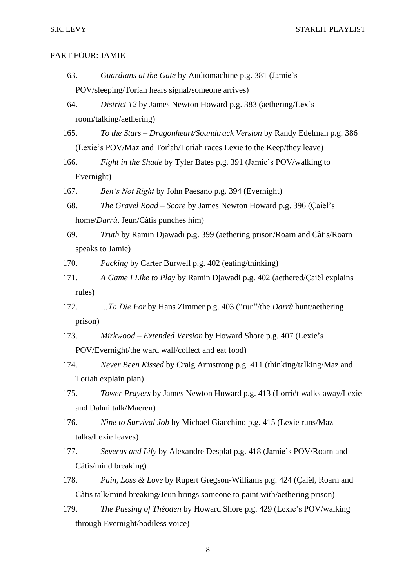#### PART FOUR: JAMIE

- 163. *Guardians at the Gate* by Audiomachine p.g. 381 (Jamie's POV/sleeping/Torìah hears signal/someone arrives)
- 164. *District 12* by James Newton Howard p.g. 383 (aethering/Lex's room/talking/aethering)
- 165. *To the Stars – Dragonheart/Soundtrack Version* by Randy Edelman p.g. 386 (Lexie's POV/Maz and Torìah/Torìah races Lexie to the Keep/they leave)
- 166. *Fight in the Shade* by Tyler Bates p.g. 391 (Jamie's POV/walking to Evernight)
- 167. *Ben's Not Right* by John Paesano p.g. 394 (Evernight)
- 168. *The Gravel Road – Score* by James Newton Howard p.g. 396 (Çaiël's home/*Darrù*, Jeun/Càtis punches him)
- 169. *Truth* by Ramin Djawadi p.g. 399 (aethering prison/Roarn and Càtis/Roarn speaks to Jamie)
- 170. *Packing* by Carter Burwell p.g. 402 (eating/thinking)
- 171. *A Game I Like to Play* by Ramin Djawadi p.g. 402 (aethered/Çaiël explains rules)
- 172. *…To Die For* by Hans Zimmer p.g. 403 ("run"/the *Darrù* hunt/aethering prison)
- 173. *Mirkwood – Extended Version* by Howard Shore p.g. 407 (Lexie's POV/Evernight/the ward wall/collect and eat food)
- 174. *Never Been Kissed* by Craig Armstrong p.g. 411 (thinking/talking/Maz and Torìah explain plan)
- 175. *Tower Prayers* by James Newton Howard p.g. 413 (Lorriët walks away/Lexie and Dahni talk/Maeren)
- 176. *Nine to Survival Job* by Michael Giacchino p.g. 415 (Lexie runs/Maz talks/Lexie leaves)
- 177. *Severus and Lily* by Alexandre Desplat p.g. 418 (Jamie's POV/Roarn and Càtis/mind breaking)
- 178. *Pain, Loss & Love* by Rupert Gregson-Williams p.g. 424 (Çaiël, Roarn and Càtis talk/mind breaking/Jeun brings someone to paint with/aethering prison)
- 179. *The Passing of Théoden* by Howard Shore p.g. 429 (Lexie's POV/walking through Evernight/bodiless voice)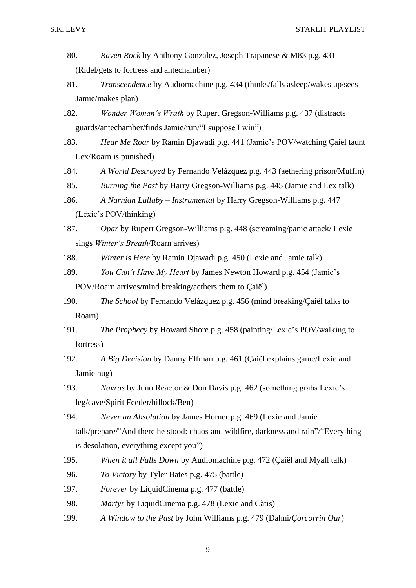- 180. *Raven Rock* by Anthony Gonzalez, Joseph Trapanese & M83 p.g. 431 (Rìdel/gets to fortress and antechamber)
- 181. *Transcendence* by Audiomachine p.g. 434 (thinks/falls asleep/wakes up/sees Jamie/makes plan)
- 182. *Wonder Woman's Wrath* by Rupert Gregson-Williams p.g. 437 (distracts guards/antechamber/finds Jamie/run/"I suppose I win")
- 183. *Hear Me Roar* by Ramin Djawadi p.g. 441 (Jamie's POV/watching Çaiël taunt Lex/Roarn is punished)
- 184. *A World Destroyed* by Fernando Velázquez p.g. 443 (aethering prison/Muffin)
- 185. *Burning the Past* by Harry Gregson-Williams p.g. 445 (Jamie and Lex talk)
- 186. *A Narnian Lullaby – Instrumental* by Harry Gregson-Williams p.g. 447 (Lexie's POV/thinking)
- 187. *Opar* by Rupert Gregson-Williams p.g. 448 (screaming/panic attack/ Lexie sings *Winter's Breath*/Roarn arrives)
- 188. *Winter is Here* by Ramin Djawadi p.g. 450 (Lexie and Jamie talk)
- 189. *You Can't Have My Heart* by James Newton Howard p.g. 454 (Jamie's POV/Roarn arrives/mind breaking/aethers them to Çaiël)
- 190. *The School* by Fernando Velázquez p.g. 456 (mind breaking/Çaiël talks to Roarn)
- 191. *The Prophecy* by Howard Shore p.g. 458 (painting/Lexie's POV/walking to fortress)
- 192. *A Big Decision* by Danny Elfman p.g. 461 (Çaiël explains game/Lexie and Jamie hug)
- 193. *Navras* by Juno Reactor & Don Davis p.g. 462 (something grabs Lexie's leg/cave/Spirit Feeder/hillock/Ben)
- 194. *Never an Absolution* by James Horner p.g. 469 (Lexie and Jamie talk/prepare/"And there he stood: chaos and wildfire, darkness and rain"/"Everything is desolation, everything except you")
- 195. *When it all Falls Down* by Audiomachine p.g. 472 (Çaiël and Myall talk)
- 196. *To Victory* by Tyler Bates p.g. 475 (battle)
- 197. *Forever* by LiquidCinema p.g. 477 (battle)
- 198. *Martyr* by LiquidCinema p.g. 478 (Lexie and Càtis)
- 199. *A Window to the Past* by John Williams p.g. 479 (Dahni/*Çorcorrin Our*)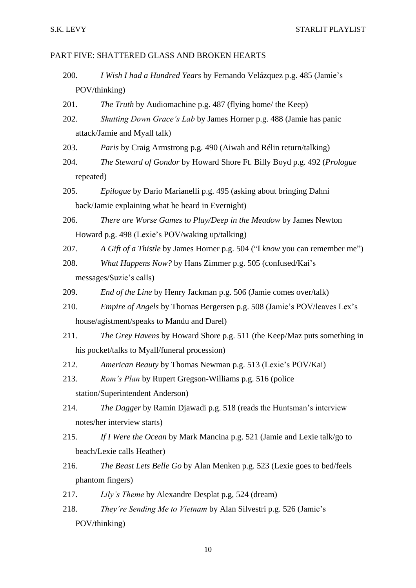#### PART FIVE: SHATTERED GLASS AND BROKEN HEARTS

- 200. *I Wish I had a Hundred Years* by Fernando Velázquez p.g. 485 (Jamie's POV/thinking)
- 201. *The Truth* by Audiomachine p.g. 487 (flying home/ the Keep)
- 202. *Shutting Down Grace's Lab* by James Horner p.g. 488 (Jamie has panic attack/Jamie and Myall talk)
- 203. *Paris* by Craig Armstrong p.g. 490 (Aiwah and Rélin return/talking)
- 204. *The Steward of Gondor* by Howard Shore Ft. Billy Boyd p.g. 492 (*Prologue* repeated)
- 205. *Epilogue* by Dario Marianelli p.g. 495 (asking about bringing Dahni back/Jamie explaining what he heard in Evernight)
- 206. *There are Worse Games to Play/Deep in the Meadow* by James Newton Howard p.g. 498 (Lexie's POV/waking up/talking)
- 207. *A Gift of a Thistle* by James Horner p.g. 504 ("I *know* you can remember me")
- 208. *What Happens Now?* by Hans Zimmer p.g. 505 (confused/Kai's messages/Suzie's calls)
- 209. *End of the Line* by Henry Jackman p.g. 506 (Jamie comes over/talk)
- 210. *Empire of Angels* by Thomas Bergersen p.g. 508 (Jamie's POV/leaves Lex's house/agistment/speaks to Mandu and Darel)
- 211. *The Grey Havens* by Howard Shore p.g. 511 (the Keep/Maz puts something in his pocket/talks to Myall/funeral procession)
- 212. *American Beauty* by Thomas Newman p.g. 513 (Lexie's POV/Kai)
- 213. *Rom's Plan* by Rupert Gregson-Williams p.g. 516 (police station/Superintendent Anderson)
- 214. *The Dagger* by Ramin Djawadi p.g. 518 (reads the Huntsman's interview notes/her interview starts)
- 215. *If I Were the Ocean* by Mark Mancina p.g. 521 (Jamie and Lexie talk/go to beach/Lexie calls Heather)
- 216. *The Beast Lets Belle Go* by Alan Menken p.g. 523 (Lexie goes to bed/feels phantom fingers)
- 217. *Lily's Theme* by Alexandre Desplat p.g, 524 (dream)
- 218. *They're Sending Me to Vietnam* by Alan Silvestri p.g. 526 (Jamie's POV/thinking)